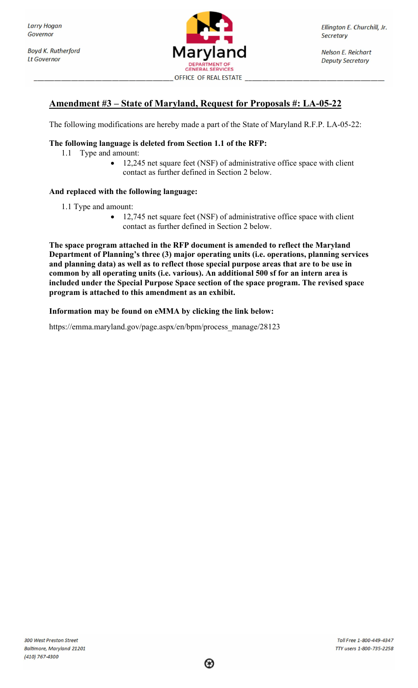**Boyd K. Rutherford Lt Governor** 



Ellington E. Churchill, Jr. **Secretary** 

**Nelson E. Reichart Deputy Secretary** 

## Amendment #3 – State of Maryland, Request for Proposals #: LA-05-22

The following modifications are hereby made a part of the State of Maryland R.F.P. LA-05-22:

## The following language is deleted from Section 1.1 of the RFP:

- 1.1 Type and amount:
	- 12,245 net square feet (NSF) of administrative office space with client contact as further defined in Section 2 below.

## And replaced with the following language:

- 1.1 Type and amount:
	- 12,745 net square feet (NSF) of administrative office space with client contact as further defined in Section 2 below.

The space program attached in the RFP document is amended to reflect the Maryland Department of Planning's three (3) major operating units (i.e. operations, planning services and planning data) as well as to reflect those special purpose areas that are to be use in common by all operating units (i.e. various). An additional 500 sf for an intern area is included under the Special Purpose Space section of the space program. The revised space program is attached to this amendment as an exhibit.

Information may be found on eMMA by clicking the link below:

https://emma.maryland.gov/page.aspx/en/bpm/process\_manage/28123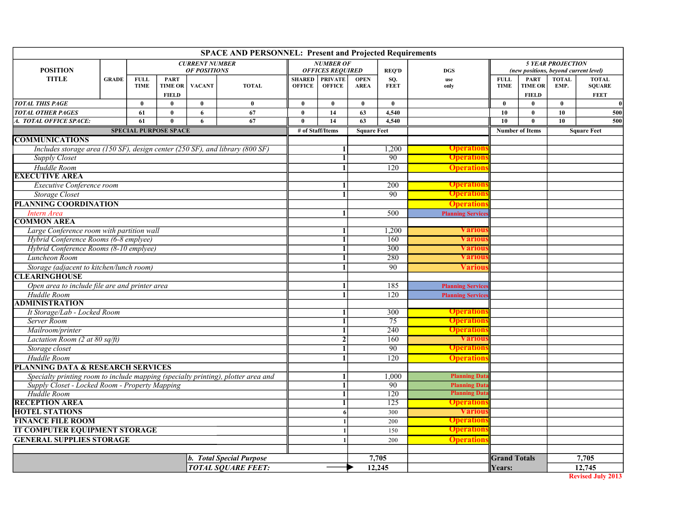| <b>SPACE AND PERSONNEL: Present and Projected Requirements</b>                    |              |                            |                               |                       |              |                                |                                 |                            |                      |                                              |                            |                               |                                       |                               |  |
|-----------------------------------------------------------------------------------|--------------|----------------------------|-------------------------------|-----------------------|--------------|--------------------------------|---------------------------------|----------------------------|----------------------|----------------------------------------------|----------------------------|-------------------------------|---------------------------------------|-------------------------------|--|
|                                                                                   |              |                            |                               | <b>CURRENT NUMBER</b> |              | <b>NUMBER OF</b>               |                                 |                            |                      |                                              | <b>5 YEAR PROJECTION</b>   |                               |                                       |                               |  |
| <b>POSITION</b>                                                                   |              |                            |                               | <b>OF POSITIONS</b>   |              |                                | <b>OFFICES REQUIRED</b>         |                            | <b>REO'D</b>         | <b>DGS</b>                                   |                            |                               | (new positions, beyond current level) |                               |  |
| <b>TITLE</b>                                                                      | <b>GRADE</b> | <b>FULL</b><br><b>TIME</b> | <b>PART</b><br><b>TIME OR</b> | <b>VACANT</b>         | <b>TOTAL</b> | <b>SHARED</b><br><b>OFFICE</b> | <b>PRIVATE</b><br><b>OFFICE</b> | <b>OPEN</b><br><b>AREA</b> | SO.<br><b>FEET</b>   | use<br>only                                  | <b>FULL</b><br><b>TIME</b> | <b>PART</b><br><b>TIME OR</b> | <b>TOTAL</b><br>EMP.                  | <b>TOTAL</b><br><b>SQUARE</b> |  |
|                                                                                   |              |                            | <b>FIELD</b>                  |                       |              |                                |                                 |                            |                      |                                              |                            | <b>FIELD</b>                  |                                       | <b>FEET</b>                   |  |
| <b>TOTAL THIS PAGE</b>                                                            |              | $\bf{0}$                   | $\mathbf{0}$                  | $\bf{0}$              | $\mathbf{0}$ | $\mathbf{0}$                   | $\bf{0}$                        | $\bf{0}$                   | $\mathbf{0}$         |                                              | $\mathbf{0}$               | $\mathbf{0}$                  | $\bf{0}$                              |                               |  |
| <b>TOTAL OTHER PAGES</b>                                                          |              | 61                         | $\mathbf{0}$                  | 6                     | 67           | $\mathbf{0}$                   | 14                              | 63                         | 4,540                |                                              | 10                         | $\bf{0}$                      | 10                                    | 500                           |  |
| A. TOTAL OFFICE SPACE:                                                            |              | 61                         | $\theta$                      | 6                     | 67           | $\theta$                       | 14                              | 63                         | 4,540                |                                              | 10                         | $\mathbf{0}$                  | 10                                    | 500                           |  |
| <b>SPECIAL PURPOSE SPACE</b>                                                      |              |                            |                               |                       |              | # of Staff/Items               |                                 | <b>Square Feet</b>         |                      |                                              | <b>Number of Items</b>     |                               |                                       | <b>Square Feet</b>            |  |
| <b>COMMUNICATIONS</b>                                                             |              |                            |                               |                       |              |                                |                                 |                            |                      |                                              |                            |                               |                                       |                               |  |
| Includes storage area (150 SF), design center (250 SF), and library (800 SF)      |              |                            |                               |                       |              |                                | 1,200                           |                            | <b>Operation</b>     |                                              |                            |                               |                                       |                               |  |
| <b>Supply Closet</b>                                                              |              |                            |                               |                       |              | 1                              | 90                              |                            | <b>Operation</b>     |                                              |                            |                               |                                       |                               |  |
| Huddle Room                                                                       |              |                            |                               |                       |              |                                | 1                               | 120                        |                      | <b>Operation</b>                             |                            |                               |                                       |                               |  |
| <b>EXECUTIVE AREA</b>                                                             |              |                            |                               |                       |              |                                |                                 |                            |                      |                                              |                            |                               |                                       |                               |  |
| <b>Executive Conference room</b>                                                  |              |                            |                               |                       |              |                                | 1                               | 200                        |                      | <b>Operation</b>                             |                            |                               |                                       |                               |  |
| <b>Storage Closet</b>                                                             |              |                            |                               |                       |              |                                |                                 | 90                         |                      | <b>Operation</b>                             |                            |                               |                                       |                               |  |
| PLANNING COORDINATION                                                             |              |                            |                               |                       |              |                                |                                 |                            |                      | <b>Operation</b>                             |                            |                               |                                       |                               |  |
| Intern Area                                                                       |              |                            |                               |                       |              |                                | $\mathbf{1}$                    | 500                        |                      | <b>Planning Service</b>                      |                            |                               |                                       |                               |  |
| <b>COMMON AREA</b>                                                                |              |                            |                               |                       |              |                                |                                 |                            |                      |                                              |                            |                               |                                       |                               |  |
| Large Conference room with partition wall                                         |              |                            |                               |                       |              |                                | 1                               | 1,200                      |                      | <b>Variou</b>                                |                            |                               |                                       |                               |  |
| Hybrid Conference Rooms (6-8 emplyee)                                             |              |                            |                               |                       |              |                                |                                 | 160                        |                      | <b>Variou</b>                                |                            |                               |                                       |                               |  |
| Hybrid Conference Rooms (8-10 emplyee)                                            |              |                            |                               |                       |              |                                | $\mathbf{1}$                    | 300                        |                      | <b>Variou</b>                                |                            |                               |                                       |                               |  |
| Luncheon Room                                                                     |              |                            |                               |                       |              |                                | $\mathbf{1}$                    |                            | 280                  | <b>Variou</b>                                |                            |                               |                                       |                               |  |
| Storage (adjacent to kitchen/lunch room)                                          |              |                            |                               |                       |              |                                |                                 | 90                         |                      | Variou                                       |                            |                               |                                       |                               |  |
| <b>CLEARINGHOUSE</b>                                                              |              |                            |                               |                       |              |                                |                                 |                            |                      |                                              |                            |                               |                                       |                               |  |
| Open area to include file are and printer area                                    |              |                            |                               |                       |              |                                | 1                               | 185                        |                      | <b>Planning Services</b>                     |                            |                               |                                       |                               |  |
| Huddle Room                                                                       |              |                            |                               |                       |              | $\mathbf{1}$                   |                                 | 120                        |                      | <b>Planning Services</b>                     |                            |                               |                                       |                               |  |
| <b>ADMINISTRATION</b>                                                             |              |                            |                               |                       |              |                                |                                 |                            |                      |                                              |                            |                               |                                       |                               |  |
| It Storage/Lab - Locked Room                                                      |              |                            |                               |                       |              |                                |                                 | 300<br>75                  |                      | <b>Operation</b>                             |                            |                               |                                       |                               |  |
| Server Room                                                                       |              |                            |                               |                       |              |                                | $\overline{1}$                  | $\overline{240}$           |                      | <b>Operations</b>                            |                            |                               |                                       |                               |  |
| Mailroom/printer                                                                  |              |                            |                               |                       |              |                                | 1                               |                            |                      | <b>Operation</b>                             |                            |                               |                                       |                               |  |
| Lactation Room (2 at 80 sq/ft)                                                    |              |                            |                               |                       |              |                                | $\overline{2}$                  | 160<br>$\overline{90}$     |                      | <b>Variou</b>                                |                            |                               |                                       |                               |  |
| Storage closet                                                                    |              |                            |                               |                       |              |                                |                                 |                            |                      | <b>Operation</b>                             |                            |                               |                                       |                               |  |
| Huddle Room                                                                       |              |                            |                               |                       |              |                                | $\mathbf{1}$                    |                            | 120                  | <b>Operation</b>                             |                            |                               |                                       |                               |  |
| <b>PLANNING DATA &amp; RESEARCH SERVICES</b>                                      |              |                            |                               |                       |              |                                |                                 |                            |                      |                                              |                            |                               |                                       |                               |  |
| Specialty printing room to include mapping (specialty printing), plotter area and |              |                            |                               |                       |              | 1                              |                                 | 1,000                      | <b>Planning Data</b> |                                              |                            |                               |                                       |                               |  |
| Supply Closet - Locked Room - Property Mapping<br>Huddle Room                     |              |                            |                               |                       |              | $\mathbf{1}$<br>1              |                                 | 90<br>$\overline{120}$     |                      | <b>Planning Data</b><br><b>Planning Data</b> |                            |                               |                                       |                               |  |
| <b>RECEPTION AREA</b>                                                             |              |                            |                               |                       |              |                                |                                 |                            | 125                  | <b>Operation</b>                             |                            |                               |                                       |                               |  |
| <b>HOTEL STATIONS</b>                                                             |              |                            |                               |                       | 6            |                                | 300                             |                            | <b>Various</b>       |                                              |                            |                               |                                       |                               |  |
| <b>FINANCE FILE ROOM</b>                                                          |              |                            |                               |                       |              |                                |                                 | 200                        | <b>Operation</b>     |                                              |                            |                               |                                       |                               |  |
| <b>IT COMPUTER EQUIPMENT STORAGE</b>                                              |              |                            |                               |                       |              |                                |                                 | 150                        | <b>Operation</b>     |                                              |                            |                               |                                       |                               |  |
| <b>GENERAL SUPPLIES STORAGE</b>                                                   |              |                            |                               |                       |              |                                |                                 |                            | <b>Operations</b>    |                                              |                            |                               |                                       |                               |  |
|                                                                                   |              |                            |                               |                       |              |                                |                                 |                            | 200                  |                                              |                            |                               |                                       |                               |  |
|                                                                                   |              |                            |                               |                       |              |                                |                                 |                            | 7,705                |                                              | <b>Grand Totals</b>        |                               |                                       | 7,705                         |  |
| b. Total Special Purpose<br><b>TOTAL SQUARE FEET:</b>                             |              |                            |                               |                       |              |                                |                                 | 12,245                     |                      | Years:                                       |                            |                               | 12,745                                |                               |  |
|                                                                                   |              |                            |                               |                       |              |                                |                                 |                            |                      |                                              |                            |                               |                                       |                               |  |

Revised July 2013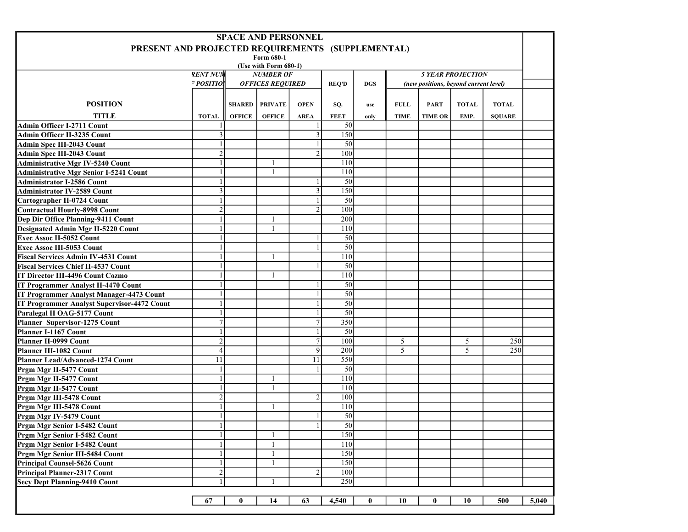| <b>SPACE AND PERSONNEL</b>                        |                         |               |                         |                |             |                                       |             |                |              |               |       |  |
|---------------------------------------------------|-------------------------|---------------|-------------------------|----------------|-------------|---------------------------------------|-------------|----------------|--------------|---------------|-------|--|
| PRESENT AND PROJECTED REQUIREMENTS (SUPPLEMENTAL) |                         |               |                         |                |             |                                       |             |                |              |               |       |  |
| Form 680-1                                        |                         |               |                         |                |             |                                       |             |                |              |               |       |  |
| (Use with Form 680-1)<br><b>RENT NUM</b>          |                         |               |                         |                |             |                                       |             |                |              |               |       |  |
|                                                   | <b>NUMBER OF</b>        |               |                         |                | <b>DGS</b>  | <b>5 YEAR PROJECTION</b>              |             |                |              |               |       |  |
| F POSITIO.                                        | <b>OFFICES REQUIRED</b> |               |                         | <b>REO'D</b>   |             | (new positions, beyond current level) |             |                |              |               |       |  |
|                                                   |                         |               |                         |                |             |                                       |             |                |              |               |       |  |
| <b>POSITION</b>                                   |                         |               | <b>SHARED   PRIVATE</b> | <b>OPEN</b>    | SQ.         | use                                   | <b>FULL</b> | <b>PART</b>    | <b>TOTAL</b> | <b>TOTAL</b>  |       |  |
| <b>TITLE</b>                                      | <b>TOTAL</b>            | <b>OFFICE</b> | <b>OFFICE</b>           | <b>AREA</b>    | <b>FEET</b> | only                                  | <b>TIME</b> | <b>TIME OR</b> | EMP.         | <b>SQUARE</b> |       |  |
| Admin Officer I-2711 Count                        |                         |               |                         |                | 50          |                                       |             |                |              |               |       |  |
| Admin Officer II-3235 Count                       | 3                       |               |                         |                | 150         |                                       |             |                |              |               |       |  |
| Admin Spec III-2043 Count                         | $\mathbf{1}$            |               |                         |                | 50          |                                       |             |                |              |               |       |  |
| Admin Spec III-2043 Count                         | $\overline{2}$          |               |                         | $\mathfrak{D}$ | 100         |                                       |             |                |              |               |       |  |
| <b>Administrative Mgr IV-5240 Count</b>           | $\mathbf{1}$            |               |                         |                | 110         |                                       |             |                |              |               |       |  |
| <b>Administrative Mgr Senior I-5241 Count</b>     | 1                       |               | $\mathbf{1}$            |                | 110         |                                       |             |                |              |               |       |  |
| <b>Administrator I-2586 Count</b>                 | $\mathbf{1}$            |               |                         |                | 50          |                                       |             |                |              |               |       |  |
| <b>Administrator IV-2589 Count</b>                | $\overline{\mathbf{3}}$ |               |                         | $\mathcal{E}$  | 150         |                                       |             |                |              |               |       |  |
| Cartographer II-0724 Count                        | $\mathbf{1}$            |               |                         |                | 50          |                                       |             |                |              |               |       |  |
| <b>Contractual Hourly-8998 Count</b>              | $\overline{c}$          |               |                         |                | 100         |                                       |             |                |              |               |       |  |
| Dep Dir Office Planning-9411 Count                | 1                       |               | -1                      |                | 200         |                                       |             |                |              |               |       |  |
| <b>Designated Admin Mgr II-5220 Count</b>         | 1                       |               |                         |                | 110         |                                       |             |                |              |               |       |  |
| <b>Exec Assoc II-5052 Count</b>                   | $\mathbf{1}$            |               |                         |                | 50          |                                       |             |                |              |               |       |  |
| <b>Exec Assoc III-5053 Count</b>                  | $\mathbf{1}$            |               |                         |                | 50          |                                       |             |                |              |               |       |  |
| <b>Fiscal Services Admin IV-4531 Count</b>        | $\mathbf{1}$            |               |                         |                | 110         |                                       |             |                |              |               |       |  |
| <b>Fiscal Services Chief II-4537 Count</b>        | 1                       |               |                         |                | 50          |                                       |             |                |              |               |       |  |
| IT Director III-4496 Count Cozmo                  | 1                       |               |                         |                | 110         |                                       |             |                |              |               |       |  |
| <b>IT Programmer Analyst II-4470 Count</b>        | $\mathbf{1}$            |               |                         |                | 50          |                                       |             |                |              |               |       |  |
| IT Programmer Analyst Manager-4473 Count          | $\mathbf{1}$            |               |                         |                | 50          |                                       |             |                |              |               |       |  |
| IT Programmer Analyst Supervisor-4472 Count       | $\mathbf{1}$            |               |                         |                | 50          |                                       |             |                |              |               |       |  |
| Paralegal II OAG-5177 Count                       | 1                       |               |                         |                | 50          |                                       |             |                |              |               |       |  |
| Planner Supervisor-1275 Count                     | $\overline{7}$          |               |                         |                | 350         |                                       |             |                |              |               |       |  |
| Planner I-1167 Count                              | $\mathbf{1}$            |               |                         |                | 50          |                                       |             |                |              |               |       |  |
| <b>Planner II-0999 Count</b>                      | $\overline{2}$          |               |                         | $\tau$         | 100         |                                       | 5           |                | 5            | 250           |       |  |
| <b>Planner III-1082 Count</b>                     | $\overline{4}$          |               |                         | 9              | 200         |                                       | 5           |                | 5            | 250           |       |  |
| <b>Planner Lead/Advanced-1274 Count</b>           | 11                      |               |                         | 11             | 550         |                                       |             |                |              |               |       |  |
| Prgm Mgr II-5477 Count                            | $\,1\,$                 |               |                         |                | 50          |                                       |             |                |              |               |       |  |
| Prgm Mgr II-5477 Count                            | $\mathbf{1}$            |               |                         |                | 110         |                                       |             |                |              |               |       |  |
| Prgm Mgr II-5477 Count                            | $\mathbf{1}$            |               | $\overline{1}$          |                | 110         |                                       |             |                |              |               |       |  |
| Prgm Mgr III-5478 Count                           | $\overline{c}$          |               |                         |                | 100         |                                       |             |                |              |               |       |  |
| Prgm Mgr III-5478 Count                           | 1                       |               |                         |                | 110         |                                       |             |                |              |               |       |  |
| Prgm Mgr IV-5479 Count                            | 1                       |               |                         |                | 50          |                                       |             |                |              |               |       |  |
| Prgm Mgr Senior I-5482 Count                      | $\mathbf{1}$            |               |                         |                | 50          |                                       |             |                |              |               |       |  |
| Prgm Mgr Senior I-5482 Count                      | $\mathbf{1}$            |               | $\mathbf{1}$            |                | 150         |                                       |             |                |              |               |       |  |
| Prgm Mgr Senior I-5482 Count                      | $\mathbf{1}$            |               |                         |                | 110         |                                       |             |                |              |               |       |  |
| Prgm Mgr Senior III-5484 Count                    | $\mathbf{1}$            |               | $\mathbf{1}$            |                | 150         |                                       |             |                |              |               |       |  |
| Principal Counsel-5626 Count                      | $\mathbf{1}$            |               | $\overline{1}$          |                | 150         |                                       |             |                |              |               |       |  |
| Principal Planner-2317 Count                      | $\overline{2}$          |               |                         | 2              | 100         |                                       |             |                |              |               |       |  |
| <b>Secy Dept Planning-9410 Count</b>              | $\mathbf{1}$            |               | $\mathbf{1}$            |                | 250         |                                       |             |                |              |               |       |  |
|                                                   |                         |               |                         |                |             |                                       |             |                |              |               |       |  |
|                                                   | 67                      | $\bf{0}$      | 14                      | 63             | 4,540       | $\bf{0}$                              | 10          | 0              | 10           | 500           | 5,040 |  |